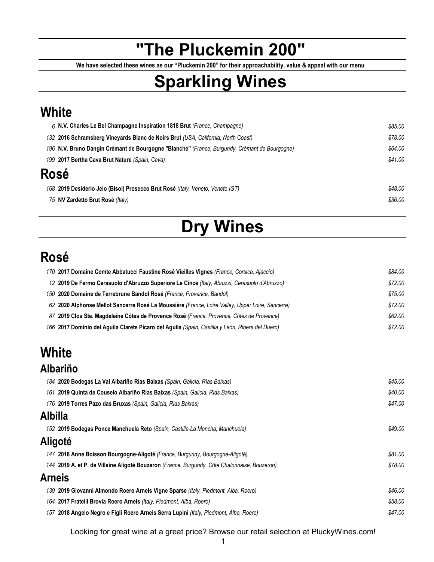## **"The Pluckemin 200"**

**We have selected these wines as our "Pluckemin 200" for their approachability, value & appeal with our menu**

# **Sparkling Wines**

### **White**

| 6 N.V. Charles Le Bel Champagne Inspiration 1818 Brut (France, Champagne)                     | \$85.00 |
|-----------------------------------------------------------------------------------------------|---------|
| 132 2016 Schramsberg Vineyards Blanc de Noirs Brut (USA, California, North Coast)             | \$78.00 |
| 196 N.V. Bruno Dangin Crémant de Bourgogne "Blanche" (France, Burgundy, Crémant de Bourgogne) | \$64.00 |
| 199 2017 Bertha Cava Brut Nature (Spain, Cava)                                                | \$41.00 |
| Rosé                                                                                          |         |
| 168 2019 Desiderio Jeio (Bisol) Prosecco Brut Rosé (Italy, Veneto, Veneto IGT)                | \$48.00 |
| 75 NV Zardetto Brut Rosé (Italy)                                                              | \$36.00 |
|                                                                                               |         |

# **Dry Wines**

### **Rosé**

| 170 2017 Domaine Comte Abbatucci Faustine Rosé Vieilles Vignes (France, Corsica, Ajaccio)        | \$84.00 |
|--------------------------------------------------------------------------------------------------|---------|
| 12 2019 De Fermo Cerasuolo d'Abruzzo Superiore Le Cince (Italy, Abruzzi, Cerasuolo d'Abruzzo)    | \$72.00 |
| 150 2020 Domaine de Terrebrune Bandol Rosé (France, Provence, Bandol)                            | \$75.00 |
| 62 2020 Alphonse Mellot Sancerre Rosé La Moussière (France, Loire Valley, Upper Loire, Sancerre) | \$72.00 |
| 87 2019 Clos Ste. Magdeleine Côtes de Provence Rosé (France, Provence, Côtes de Provence)        | \$62.00 |
| 166 2017 Dominio del Aguila Clarete Pícaro del Aguila (Spain, Castilla y León, Ribera del Duero) | \$72.00 |

## **White**

#### **Albariño**

|                | 184 2020 Bodegas La Val Albariño Rías Baixas (Spain, Galicia, Rías Baixas)                    | \$45.00 |
|----------------|-----------------------------------------------------------------------------------------------|---------|
|                | 161 2019 Quinta de Couselo Albariño Rías Baixas (Spain, Galicia, Rías Baixas)                 | \$40.00 |
|                | 176 2019 Torres Pazo das Bruxas (Spain, Galicia, Rías Baixas)                                 | \$47.00 |
| <b>Albilla</b> |                                                                                               |         |
|                | 152 2019 Bodegas Ponce Manchuela Reto (Spain, Castilla-La Mancha, Manchuela)                  | \$49.00 |
|                | Aligoté                                                                                       |         |
|                | 147 2018 Anne Boisson Bourgogne-Aligoté (France, Burgundy, Bourgogne-Aligoté)                 | \$81.00 |
|                | 144 2019 A. et P. de Villaine Aligoté Bouzeron (France, Burgundy, Côte Chalonnaise, Bouzeron) | \$78.00 |
| <b>Arneis</b>  |                                                                                               |         |
|                | 139 2019 Giovanni Almondo Roero Arneis Vigne Sparse (Italy, Piedmont, Alba, Roero)            | \$46.00 |
|                | 164 2017 Fratelli Brovia Roero Arneis (Italy, Piedmont, Alba, Roero)                          | \$58.00 |
|                | 157 2018 Angelo Negro e Figli Roero Arneis Serra Lupini (Italy, Piedmont, Alba, Roero)        | \$47.00 |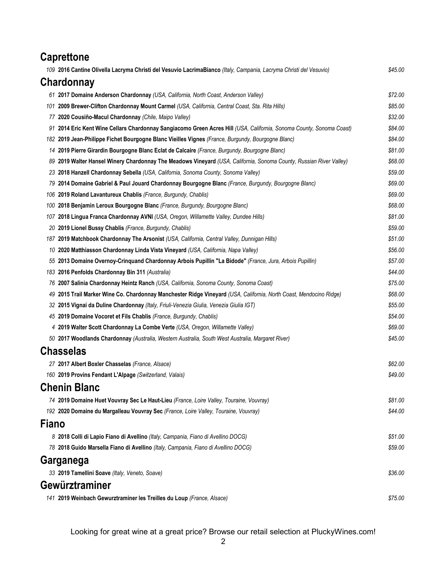| 109 2016 Cantine Olivella Lacryma Christi del Vesuvio LacrimaBianco (Italy, Campania, Lacryma Christi del Vesuvio)<br>\$45.00<br>Chardonnay<br>\$72.00<br>61 2017 Domaine Anderson Chardonnay (USA, California, North Coast, Anderson Valley)<br>\$85.00<br>2009 Brewer-Clifton Chardonnay Mount Carmel (USA, California, Central Coast, Sta. Rita Hills)<br>101<br>\$32.00<br>77 2020 Cousiño-Macul Chardonnay (Chile, Maipo Valley)<br>\$84.00<br>91 2014 Eric Kent Wine Cellars Chardonnay Sangiacomo Green Acres Hill (USA, California, Sonoma County, Sonoma Coast)<br>\$84.00<br>182 2019 Jean-Philippe Fichet Bourgogne Blanc Vieilles Vignes (France, Burgundy, Bourgogne Blanc)<br>\$81.00<br>14 2019 Pierre Girardin Bourgogne Blanc Eclat de Calcaire (France, Burgundy, Bourgogne Blanc)<br>\$68.00<br>2019 Walter Hansel Winery Chardonnay The Meadows Vineyard (USA, California, Sonoma County, Russian River Valley)<br>89<br>\$59.00<br>23 2018 Hanzell Chardonnay Sebella (USA, California, Sonoma County, Sonoma Valley)<br>\$69.00<br>79 2014 Domaine Gabriel & Paul Jouard Chardonnay Bourgogne Blanc (France, Burgundy, Bourgogne Blanc)<br>\$69.00<br>106 2019 Roland Lavantureux Chablis (France, Burgundy, Chablis)<br>\$68.00<br>2018 Benjamin Leroux Bourgogne Blanc (France, Burgundy, Bourgogne Blanc)<br>100<br>\$81.00<br>2018 Lingua Franca Chardonnay AVNI (USA, Oregon, Willamette Valley, Dundee Hills)<br>107<br>20 2019 Lionel Bussy Chablis (France, Burgundy, Chablis)<br>\$59.00<br>\$51.00<br>187 2019 Matchbook Chardonnay The Arsonist (USA, California, Central Valley, Dunnigan Hills)<br>\$56.00<br>10 2020 Matthiasson Chardonnay Linda Vista Vineyard (USA, California, Napa Valley)<br>55 2013 Domaine Overnoy-Crinquand Chardonnay Arbois Pupillin "La Bidode" (France, Jura, Arbois Pupillin)<br>\$57.00<br>183 2016 Penfolds Chardonnay Bin 311 (Australia)<br>\$44.00<br>\$75.00<br>76 2007 Salinia Chardonnay Heintz Ranch (USA, California, Sonoma County, Sonoma Coast)<br>\$68.00<br>2015 Trail Marker Wine Co. Chardonnay Manchester Ridge Vineyard (USA, California, North Coast, Mendocino Ridge)<br>49<br>\$55.00<br>32 2015 Vignai da Duline Chardonnay (Italy, Friuli-Venezia Giulia, Venezia Giulia IGT)<br>\$54.00<br>45 2019 Domaine Vocoret et Fils Chablis (France, Burgundy, Chablis)<br>\$69.00<br>2019 Walter Scott Chardonnay La Combe Verte (USA, Oregon, Willamette Valley)<br>4<br>\$45.00<br>50 2017 Woodlands Chardonnay (Australia, Western Australia, South West Australia, Margaret River)<br><b>Chasselas</b><br>\$62.00<br>27 2017 Albert Boxler Chasselas (France, Alsace)<br>160 2019 Provins Fendant L'Alpage (Switzerland, Valais)<br>\$49.00<br><b>Chenin Blanc</b><br>74 2019 Domaine Huet Vouvray Sec Le Haut-Lieu (France, Loire Valley, Touraine, Vouvray)<br>\$81.00<br>192 2020 Domaine du Margalleau Vouvray Sec (France, Loire Valley, Touraine, Vouvray)<br>\$44.00<br>Fiano |
|-----------------------------------------------------------------------------------------------------------------------------------------------------------------------------------------------------------------------------------------------------------------------------------------------------------------------------------------------------------------------------------------------------------------------------------------------------------------------------------------------------------------------------------------------------------------------------------------------------------------------------------------------------------------------------------------------------------------------------------------------------------------------------------------------------------------------------------------------------------------------------------------------------------------------------------------------------------------------------------------------------------------------------------------------------------------------------------------------------------------------------------------------------------------------------------------------------------------------------------------------------------------------------------------------------------------------------------------------------------------------------------------------------------------------------------------------------------------------------------------------------------------------------------------------------------------------------------------------------------------------------------------------------------------------------------------------------------------------------------------------------------------------------------------------------------------------------------------------------------------------------------------------------------------------------------------------------------------------------------------------------------------------------------------------------------------------------------------------------------------------------------------------------------------------------------------------------------------------------------------------------------------------------------------------------------------------------------------------------------------------------------------------------------------------------------------------------------------------------------------------------------------------------------------------------------------------------------------------------------------------------------------------------------------------------------------------------------------------------------------------------------------------------------------------------------------------------------------------------------------------------------------------------------------------------------------------------------------------------|
|                                                                                                                                                                                                                                                                                                                                                                                                                                                                                                                                                                                                                                                                                                                                                                                                                                                                                                                                                                                                                                                                                                                                                                                                                                                                                                                                                                                                                                                                                                                                                                                                                                                                                                                                                                                                                                                                                                                                                                                                                                                                                                                                                                                                                                                                                                                                                                                                                                                                                                                                                                                                                                                                                                                                                                                                                                                                                                                                                                             |
|                                                                                                                                                                                                                                                                                                                                                                                                                                                                                                                                                                                                                                                                                                                                                                                                                                                                                                                                                                                                                                                                                                                                                                                                                                                                                                                                                                                                                                                                                                                                                                                                                                                                                                                                                                                                                                                                                                                                                                                                                                                                                                                                                                                                                                                                                                                                                                                                                                                                                                                                                                                                                                                                                                                                                                                                                                                                                                                                                                             |
|                                                                                                                                                                                                                                                                                                                                                                                                                                                                                                                                                                                                                                                                                                                                                                                                                                                                                                                                                                                                                                                                                                                                                                                                                                                                                                                                                                                                                                                                                                                                                                                                                                                                                                                                                                                                                                                                                                                                                                                                                                                                                                                                                                                                                                                                                                                                                                                                                                                                                                                                                                                                                                                                                                                                                                                                                                                                                                                                                                             |
|                                                                                                                                                                                                                                                                                                                                                                                                                                                                                                                                                                                                                                                                                                                                                                                                                                                                                                                                                                                                                                                                                                                                                                                                                                                                                                                                                                                                                                                                                                                                                                                                                                                                                                                                                                                                                                                                                                                                                                                                                                                                                                                                                                                                                                                                                                                                                                                                                                                                                                                                                                                                                                                                                                                                                                                                                                                                                                                                                                             |
|                                                                                                                                                                                                                                                                                                                                                                                                                                                                                                                                                                                                                                                                                                                                                                                                                                                                                                                                                                                                                                                                                                                                                                                                                                                                                                                                                                                                                                                                                                                                                                                                                                                                                                                                                                                                                                                                                                                                                                                                                                                                                                                                                                                                                                                                                                                                                                                                                                                                                                                                                                                                                                                                                                                                                                                                                                                                                                                                                                             |
|                                                                                                                                                                                                                                                                                                                                                                                                                                                                                                                                                                                                                                                                                                                                                                                                                                                                                                                                                                                                                                                                                                                                                                                                                                                                                                                                                                                                                                                                                                                                                                                                                                                                                                                                                                                                                                                                                                                                                                                                                                                                                                                                                                                                                                                                                                                                                                                                                                                                                                                                                                                                                                                                                                                                                                                                                                                                                                                                                                             |
|                                                                                                                                                                                                                                                                                                                                                                                                                                                                                                                                                                                                                                                                                                                                                                                                                                                                                                                                                                                                                                                                                                                                                                                                                                                                                                                                                                                                                                                                                                                                                                                                                                                                                                                                                                                                                                                                                                                                                                                                                                                                                                                                                                                                                                                                                                                                                                                                                                                                                                                                                                                                                                                                                                                                                                                                                                                                                                                                                                             |
|                                                                                                                                                                                                                                                                                                                                                                                                                                                                                                                                                                                                                                                                                                                                                                                                                                                                                                                                                                                                                                                                                                                                                                                                                                                                                                                                                                                                                                                                                                                                                                                                                                                                                                                                                                                                                                                                                                                                                                                                                                                                                                                                                                                                                                                                                                                                                                                                                                                                                                                                                                                                                                                                                                                                                                                                                                                                                                                                                                             |
|                                                                                                                                                                                                                                                                                                                                                                                                                                                                                                                                                                                                                                                                                                                                                                                                                                                                                                                                                                                                                                                                                                                                                                                                                                                                                                                                                                                                                                                                                                                                                                                                                                                                                                                                                                                                                                                                                                                                                                                                                                                                                                                                                                                                                                                                                                                                                                                                                                                                                                                                                                                                                                                                                                                                                                                                                                                                                                                                                                             |
|                                                                                                                                                                                                                                                                                                                                                                                                                                                                                                                                                                                                                                                                                                                                                                                                                                                                                                                                                                                                                                                                                                                                                                                                                                                                                                                                                                                                                                                                                                                                                                                                                                                                                                                                                                                                                                                                                                                                                                                                                                                                                                                                                                                                                                                                                                                                                                                                                                                                                                                                                                                                                                                                                                                                                                                                                                                                                                                                                                             |
|                                                                                                                                                                                                                                                                                                                                                                                                                                                                                                                                                                                                                                                                                                                                                                                                                                                                                                                                                                                                                                                                                                                                                                                                                                                                                                                                                                                                                                                                                                                                                                                                                                                                                                                                                                                                                                                                                                                                                                                                                                                                                                                                                                                                                                                                                                                                                                                                                                                                                                                                                                                                                                                                                                                                                                                                                                                                                                                                                                             |
|                                                                                                                                                                                                                                                                                                                                                                                                                                                                                                                                                                                                                                                                                                                                                                                                                                                                                                                                                                                                                                                                                                                                                                                                                                                                                                                                                                                                                                                                                                                                                                                                                                                                                                                                                                                                                                                                                                                                                                                                                                                                                                                                                                                                                                                                                                                                                                                                                                                                                                                                                                                                                                                                                                                                                                                                                                                                                                                                                                             |
|                                                                                                                                                                                                                                                                                                                                                                                                                                                                                                                                                                                                                                                                                                                                                                                                                                                                                                                                                                                                                                                                                                                                                                                                                                                                                                                                                                                                                                                                                                                                                                                                                                                                                                                                                                                                                                                                                                                                                                                                                                                                                                                                                                                                                                                                                                                                                                                                                                                                                                                                                                                                                                                                                                                                                                                                                                                                                                                                                                             |
|                                                                                                                                                                                                                                                                                                                                                                                                                                                                                                                                                                                                                                                                                                                                                                                                                                                                                                                                                                                                                                                                                                                                                                                                                                                                                                                                                                                                                                                                                                                                                                                                                                                                                                                                                                                                                                                                                                                                                                                                                                                                                                                                                                                                                                                                                                                                                                                                                                                                                                                                                                                                                                                                                                                                                                                                                                                                                                                                                                             |
|                                                                                                                                                                                                                                                                                                                                                                                                                                                                                                                                                                                                                                                                                                                                                                                                                                                                                                                                                                                                                                                                                                                                                                                                                                                                                                                                                                                                                                                                                                                                                                                                                                                                                                                                                                                                                                                                                                                                                                                                                                                                                                                                                                                                                                                                                                                                                                                                                                                                                                                                                                                                                                                                                                                                                                                                                                                                                                                                                                             |
|                                                                                                                                                                                                                                                                                                                                                                                                                                                                                                                                                                                                                                                                                                                                                                                                                                                                                                                                                                                                                                                                                                                                                                                                                                                                                                                                                                                                                                                                                                                                                                                                                                                                                                                                                                                                                                                                                                                                                                                                                                                                                                                                                                                                                                                                                                                                                                                                                                                                                                                                                                                                                                                                                                                                                                                                                                                                                                                                                                             |
|                                                                                                                                                                                                                                                                                                                                                                                                                                                                                                                                                                                                                                                                                                                                                                                                                                                                                                                                                                                                                                                                                                                                                                                                                                                                                                                                                                                                                                                                                                                                                                                                                                                                                                                                                                                                                                                                                                                                                                                                                                                                                                                                                                                                                                                                                                                                                                                                                                                                                                                                                                                                                                                                                                                                                                                                                                                                                                                                                                             |
|                                                                                                                                                                                                                                                                                                                                                                                                                                                                                                                                                                                                                                                                                                                                                                                                                                                                                                                                                                                                                                                                                                                                                                                                                                                                                                                                                                                                                                                                                                                                                                                                                                                                                                                                                                                                                                                                                                                                                                                                                                                                                                                                                                                                                                                                                                                                                                                                                                                                                                                                                                                                                                                                                                                                                                                                                                                                                                                                                                             |
|                                                                                                                                                                                                                                                                                                                                                                                                                                                                                                                                                                                                                                                                                                                                                                                                                                                                                                                                                                                                                                                                                                                                                                                                                                                                                                                                                                                                                                                                                                                                                                                                                                                                                                                                                                                                                                                                                                                                                                                                                                                                                                                                                                                                                                                                                                                                                                                                                                                                                                                                                                                                                                                                                                                                                                                                                                                                                                                                                                             |
|                                                                                                                                                                                                                                                                                                                                                                                                                                                                                                                                                                                                                                                                                                                                                                                                                                                                                                                                                                                                                                                                                                                                                                                                                                                                                                                                                                                                                                                                                                                                                                                                                                                                                                                                                                                                                                                                                                                                                                                                                                                                                                                                                                                                                                                                                                                                                                                                                                                                                                                                                                                                                                                                                                                                                                                                                                                                                                                                                                             |
|                                                                                                                                                                                                                                                                                                                                                                                                                                                                                                                                                                                                                                                                                                                                                                                                                                                                                                                                                                                                                                                                                                                                                                                                                                                                                                                                                                                                                                                                                                                                                                                                                                                                                                                                                                                                                                                                                                                                                                                                                                                                                                                                                                                                                                                                                                                                                                                                                                                                                                                                                                                                                                                                                                                                                                                                                                                                                                                                                                             |
|                                                                                                                                                                                                                                                                                                                                                                                                                                                                                                                                                                                                                                                                                                                                                                                                                                                                                                                                                                                                                                                                                                                                                                                                                                                                                                                                                                                                                                                                                                                                                                                                                                                                                                                                                                                                                                                                                                                                                                                                                                                                                                                                                                                                                                                                                                                                                                                                                                                                                                                                                                                                                                                                                                                                                                                                                                                                                                                                                                             |
|                                                                                                                                                                                                                                                                                                                                                                                                                                                                                                                                                                                                                                                                                                                                                                                                                                                                                                                                                                                                                                                                                                                                                                                                                                                                                                                                                                                                                                                                                                                                                                                                                                                                                                                                                                                                                                                                                                                                                                                                                                                                                                                                                                                                                                                                                                                                                                                                                                                                                                                                                                                                                                                                                                                                                                                                                                                                                                                                                                             |
|                                                                                                                                                                                                                                                                                                                                                                                                                                                                                                                                                                                                                                                                                                                                                                                                                                                                                                                                                                                                                                                                                                                                                                                                                                                                                                                                                                                                                                                                                                                                                                                                                                                                                                                                                                                                                                                                                                                                                                                                                                                                                                                                                                                                                                                                                                                                                                                                                                                                                                                                                                                                                                                                                                                                                                                                                                                                                                                                                                             |
|                                                                                                                                                                                                                                                                                                                                                                                                                                                                                                                                                                                                                                                                                                                                                                                                                                                                                                                                                                                                                                                                                                                                                                                                                                                                                                                                                                                                                                                                                                                                                                                                                                                                                                                                                                                                                                                                                                                                                                                                                                                                                                                                                                                                                                                                                                                                                                                                                                                                                                                                                                                                                                                                                                                                                                                                                                                                                                                                                                             |
|                                                                                                                                                                                                                                                                                                                                                                                                                                                                                                                                                                                                                                                                                                                                                                                                                                                                                                                                                                                                                                                                                                                                                                                                                                                                                                                                                                                                                                                                                                                                                                                                                                                                                                                                                                                                                                                                                                                                                                                                                                                                                                                                                                                                                                                                                                                                                                                                                                                                                                                                                                                                                                                                                                                                                                                                                                                                                                                                                                             |
|                                                                                                                                                                                                                                                                                                                                                                                                                                                                                                                                                                                                                                                                                                                                                                                                                                                                                                                                                                                                                                                                                                                                                                                                                                                                                                                                                                                                                                                                                                                                                                                                                                                                                                                                                                                                                                                                                                                                                                                                                                                                                                                                                                                                                                                                                                                                                                                                                                                                                                                                                                                                                                                                                                                                                                                                                                                                                                                                                                             |
|                                                                                                                                                                                                                                                                                                                                                                                                                                                                                                                                                                                                                                                                                                                                                                                                                                                                                                                                                                                                                                                                                                                                                                                                                                                                                                                                                                                                                                                                                                                                                                                                                                                                                                                                                                                                                                                                                                                                                                                                                                                                                                                                                                                                                                                                                                                                                                                                                                                                                                                                                                                                                                                                                                                                                                                                                                                                                                                                                                             |
|                                                                                                                                                                                                                                                                                                                                                                                                                                                                                                                                                                                                                                                                                                                                                                                                                                                                                                                                                                                                                                                                                                                                                                                                                                                                                                                                                                                                                                                                                                                                                                                                                                                                                                                                                                                                                                                                                                                                                                                                                                                                                                                                                                                                                                                                                                                                                                                                                                                                                                                                                                                                                                                                                                                                                                                                                                                                                                                                                                             |
|                                                                                                                                                                                                                                                                                                                                                                                                                                                                                                                                                                                                                                                                                                                                                                                                                                                                                                                                                                                                                                                                                                                                                                                                                                                                                                                                                                                                                                                                                                                                                                                                                                                                                                                                                                                                                                                                                                                                                                                                                                                                                                                                                                                                                                                                                                                                                                                                                                                                                                                                                                                                                                                                                                                                                                                                                                                                                                                                                                             |
|                                                                                                                                                                                                                                                                                                                                                                                                                                                                                                                                                                                                                                                                                                                                                                                                                                                                                                                                                                                                                                                                                                                                                                                                                                                                                                                                                                                                                                                                                                                                                                                                                                                                                                                                                                                                                                                                                                                                                                                                                                                                                                                                                                                                                                                                                                                                                                                                                                                                                                                                                                                                                                                                                                                                                                                                                                                                                                                                                                             |
|                                                                                                                                                                                                                                                                                                                                                                                                                                                                                                                                                                                                                                                                                                                                                                                                                                                                                                                                                                                                                                                                                                                                                                                                                                                                                                                                                                                                                                                                                                                                                                                                                                                                                                                                                                                                                                                                                                                                                                                                                                                                                                                                                                                                                                                                                                                                                                                                                                                                                                                                                                                                                                                                                                                                                                                                                                                                                                                                                                             |
| 8 2018 Colli di Lapio Fiano di Avellino (Italy, Campania, Fiano di Avellino DOCG)<br>\$51.00                                                                                                                                                                                                                                                                                                                                                                                                                                                                                                                                                                                                                                                                                                                                                                                                                                                                                                                                                                                                                                                                                                                                                                                                                                                                                                                                                                                                                                                                                                                                                                                                                                                                                                                                                                                                                                                                                                                                                                                                                                                                                                                                                                                                                                                                                                                                                                                                                                                                                                                                                                                                                                                                                                                                                                                                                                                                                |
| 78 2018 Guido Marsella Fiano di Avellino (Italy, Campania, Fiano di Avellino DOCG)<br>\$59.00                                                                                                                                                                                                                                                                                                                                                                                                                                                                                                                                                                                                                                                                                                                                                                                                                                                                                                                                                                                                                                                                                                                                                                                                                                                                                                                                                                                                                                                                                                                                                                                                                                                                                                                                                                                                                                                                                                                                                                                                                                                                                                                                                                                                                                                                                                                                                                                                                                                                                                                                                                                                                                                                                                                                                                                                                                                                               |
| Garganega                                                                                                                                                                                                                                                                                                                                                                                                                                                                                                                                                                                                                                                                                                                                                                                                                                                                                                                                                                                                                                                                                                                                                                                                                                                                                                                                                                                                                                                                                                                                                                                                                                                                                                                                                                                                                                                                                                                                                                                                                                                                                                                                                                                                                                                                                                                                                                                                                                                                                                                                                                                                                                                                                                                                                                                                                                                                                                                                                                   |
| 33 2019 Tamellini Soave (Italy, Veneto, Soave)<br>\$36.00                                                                                                                                                                                                                                                                                                                                                                                                                                                                                                                                                                                                                                                                                                                                                                                                                                                                                                                                                                                                                                                                                                                                                                                                                                                                                                                                                                                                                                                                                                                                                                                                                                                                                                                                                                                                                                                                                                                                                                                                                                                                                                                                                                                                                                                                                                                                                                                                                                                                                                                                                                                                                                                                                                                                                                                                                                                                                                                   |
| Gewürztraminer                                                                                                                                                                                                                                                                                                                                                                                                                                                                                                                                                                                                                                                                                                                                                                                                                                                                                                                                                                                                                                                                                                                                                                                                                                                                                                                                                                                                                                                                                                                                                                                                                                                                                                                                                                                                                                                                                                                                                                                                                                                                                                                                                                                                                                                                                                                                                                                                                                                                                                                                                                                                                                                                                                                                                                                                                                                                                                                                                              |
| 141 2019 Weinbach Gewurztraminer les Treilles du Loup (France, Alsace)<br>\$75.00                                                                                                                                                                                                                                                                                                                                                                                                                                                                                                                                                                                                                                                                                                                                                                                                                                                                                                                                                                                                                                                                                                                                                                                                                                                                                                                                                                                                                                                                                                                                                                                                                                                                                                                                                                                                                                                                                                                                                                                                                                                                                                                                                                                                                                                                                                                                                                                                                                                                                                                                                                                                                                                                                                                                                                                                                                                                                           |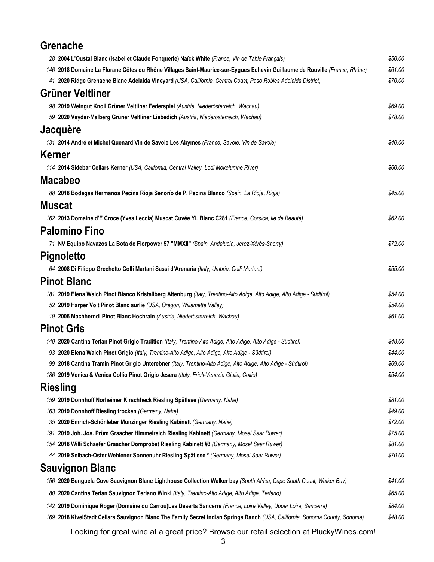| <b>Grenache</b>                                                                                                             |         |
|-----------------------------------------------------------------------------------------------------------------------------|---------|
| 28 2004 L'Oustal Blanc (Isabel et Claude Fonquerle) Naïck White (France, Vin de Table Français)                             | \$50.00 |
| 146 2018 Domaine La Florane Côtes du Rhône Villages Saint-Maurice-sur-Eygues Echevin Guillaume de Rouville (France, Rhône)  | \$61.00 |
| 41 2020 Ridge Grenache Blanc Adelaida Vineyard (USA, California, Central Coast, Paso Robles Adelaida District)              | \$70.00 |
| <b>Grüner Veltliner</b>                                                                                                     |         |
| 98 2019 Weingut Knoll Grüner Veltliner Federspiel (Austria, Niederösterreich, Wachau)                                       | \$69.00 |
| 59 2020 Veyder-Malberg Grüner Veltliner Liebedich (Austria, Niederösterreich, Wachau)                                       | \$78.00 |
| Jacquère                                                                                                                    |         |
| 131 2014 André et Michel Quenard Vin de Savoie Les Abymes (France, Savoie, Vin de Savoie)                                   | \$40.00 |
| <b>Kerner</b>                                                                                                               |         |
| 114 2014 Sidebar Cellars Kerner (USA, California, Central Valley, Lodi Mokelumne River)                                     | \$60.00 |
| <b>Macabeo</b>                                                                                                              |         |
| 88 2018 Bodegas Hermanos Peciña Rioja Señorío de P. Peciña Blanco (Spain, La Rioja, Rioja)                                  | \$45.00 |
| <b>Muscat</b>                                                                                                               |         |
| 162 2013 Domaine d'E Croce (Yves Leccia) Muscat Cuvée YL Blanc C281 (France, Corsica, Île de Beauté)                        | \$62.00 |
|                                                                                                                             |         |
| <b>Palomino Fino</b>                                                                                                        |         |
| 71 NV Equipo Navazos La Bota de Florpower 57 "MMXII" (Spain, Andalucía, Jerez-Xérès-Sherry)                                 | \$72.00 |
| Pignoletto                                                                                                                  |         |
| 64 2008 Di Filippo Grechetto Colli Martani Sassi d'Arenaria (Italy, Umbria, Colli Martani)                                  | \$55.00 |
| <b>Pinot Blanc</b>                                                                                                          |         |
| 181 2019 Elena Walch Pinot Bianco Kristallberg Altenburg (Italy, Trentino-Alto Adige, Alto Adige, Alto Adige - Südtirol)    | \$54.00 |
| 52 2019 Harper Voit Pinot Blanc surlie (USA, Oregon, Willamette Valley)                                                     | \$54.00 |
| 19 2006 Machherndl Pinot Blanc Hochrain (Austria, Niederösterreich, Wachau)                                                 | \$61.00 |
| <b>Pinot Gris</b>                                                                                                           |         |
| 140 2020 Cantina Terlan Pinot Grigio Tradition (Italy, Trentino-Alto Adige, Alto Adige, Alto Adige - Südtirol)              | \$48.00 |
| 93 2020 Elena Walch Pinot Grigio (Italy, Trentino-Alto Adige, Alto Adige, Alto Adige - Südtirol)                            | \$44.00 |
| 99 2018 Cantina Tramin Pinot Grigio Unterebner (Italy, Trentino-Alto Adige, Alto Adige, Alto Adige - Südtirol)              | \$69.00 |
| 186 2019 Venica & Venica Collio Pinot Grigio Jesera (Italy, Friuli-Venezia Giulia, Collio)                                  | \$54.00 |
| <b>Riesling</b>                                                                                                             |         |
| 159 2019 Dönnhoff Norheimer Kirschheck Riesling Spätlese (Germany, Nahe)                                                    | \$81.00 |
| 163 2019 Dönnhoff Riesling trocken (Germany, Nahe)                                                                          | \$49.00 |
| 35 2020 Emrich-Schönleber Monzinger Riesling Kabinett (Germany, Nahe)                                                       | \$72.00 |
| 2019 Joh. Jos. Prüm Graacher Himmelreich Riesling Kabinett (Germany, Mosel Saar Ruwer)<br>191                               | \$75.00 |
| 154 2018 Willi Schaefer Graacher Domprobst Riesling Kabinett #3 (Germany, Mosel Saar Ruwer)                                 | \$81.00 |
| 44 2019 Selbach-Oster Wehlener Sonnenuhr Riesling Spätlese * (Germany, Mosel Saar Ruwer)                                    | \$70.00 |
| <b>Sauvignon Blanc</b>                                                                                                      |         |
| 156 2020 Benguela Cove Sauvignon Blanc Lighthouse Collection Walker bay (South Africa, Cape South Coast, Walker Bay)        | \$41.00 |
| 80 2020 Cantina Terlan Sauvignon Terlano Winkl (Italy, Trentino-Alto Adige, Alto Adige, Terlano)                            | \$65.00 |
| 142 2019 Dominique Roger (Domaine du Carrou)Les Deserts Sancerre (France, Loire Valley, Upper Loire, Sancerre)              | \$84.00 |
| 169 2018 KivelStadt Cellars Sauvignon Blanc The Family Secret Indian Springs Ranch (USA, California, Sonoma County, Sonoma) | \$48.00 |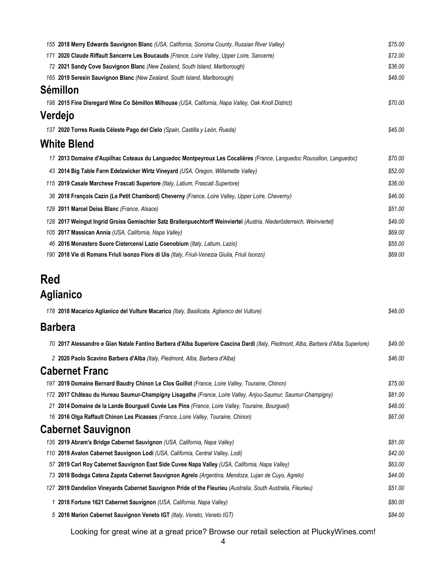|     | 155 2018 Merry Edwards Sauvignon Blanc (USA, California, Sonoma County, Russian River Valley)                         | \$75.00 |
|-----|-----------------------------------------------------------------------------------------------------------------------|---------|
| 171 | 2020 Claude Riffault Sancerre Les Boucauds (France, Loire Valley, Upper Loire, Sancerre)                              | \$72.00 |
|     | 72 2021 Sandy Cove Sauvignon Blanc (New Zealand, South Island, Marlborough)                                           | \$36.00 |
|     | 165 2019 Seresin Sauvignon Blanc (New Zealand, South Island, Marlborough)                                             | \$48.00 |
|     | <b>Sémillon</b>                                                                                                       |         |
|     | 198 2015 Fine Disregard Wine Co Sémillon Milhouse (USA, California, Napa Valley, Oak Knoll District)                  | \$70.00 |
|     | Verdejo                                                                                                               |         |
|     | 137 2020 Torres Rueda Céleste Pago del Cielo (Spain, Castilla y León, Rueda)                                          | \$45.00 |
|     | <b>White Blend</b>                                                                                                    |         |
|     | 17 2013 Domaine d'Aupilhac Coteaux du Languedoc Montpeyroux Les Cocalières (France, Languedoc Roussillon, Languedoc)  | \$70.00 |
|     | 43 2014 Big Table Farm Edelzwicker Wirtz Vineyard (USA, Oregon, Willamette Valley)                                    | \$52.00 |
|     | 115 2019 Casale Marchese Frascati Superiore (Italy, Latium, Frascati Superiore)                                       | \$36.00 |
|     | 38 2018 François Cazin (Le Petit Chambord) Cheverny (France, Loire Valley, Upper Loire, Cheverny)                     | \$46.00 |
|     | 129 2011 Marcel Deiss Blanc (France, Alsace)                                                                          | \$51.00 |
|     | 128 2017 Weingut Ingrid Groiss Gemischter Satz Braitenpuechtorff Weinviertel (Austria, Niederösterreich, Weinviertel) | \$49.00 |
|     | 105 2017 Massican Annia (USA, California, Napa Valley)                                                                | \$69.00 |
| 46  | 2016 Monastero Suore Cistercensi Lazio Coenobium (Italy, Latium, Lazio)                                               | \$55.00 |
|     | 190 2018 Vie di Romans Friuli Isonzo Flors di Uis (Italy, Friuli-Venezia Giulia, Friuli Isonzo)                       | \$69.00 |
| Red |                                                                                                                       |         |

## **Aglianico**

|    | 178 2018 Macarico Aglianico del Vulture Macarico (Italy, Basilicata, Aglianico del Vulture)                                       | \$48.00 |
|----|-----------------------------------------------------------------------------------------------------------------------------------|---------|
|    | <b>Barbera</b>                                                                                                                    |         |
|    | 70 2017 Alessandro e Gian Natale Fantino Barbera d'Alba Superiore Cascina Dardi (Italy, Piedmont, Alba, Barbera d'Alba Superiore) | \$49.00 |
|    | 2 2020 Paolo Scavino Barbera d'Alba (Italy, Piedmont, Alba, Barbera d'Alba)                                                       | \$46.00 |
|    | <b>Cabernet Franc</b>                                                                                                             |         |
|    | 197 2019 Domaine Bernard Baudry Chinon Le Clos Guillot (France, Loire Valley, Touraine, Chinon)                                   | \$75.00 |
|    | 172 2017 Château du Hureau Saumur-Champigny Lisagathe (France, Loire Valley, Anjou-Saumur, Saumur-Champigny)                      | \$81.00 |
| 21 | 2014 Domaine de la Lande Bourgueil Cuvée Les Pins (France, Loire Valley, Touraine, Bourgueil)                                     | \$48.00 |
|    | 16 2016 Olga Raffault Chinon Les Picasses (France, Loire Valley, Touraine, Chinon)                                                | \$67.00 |
|    | <b>Cabernet Sauvignon</b>                                                                                                         |         |
|    | 135 2019 Abram's Bridge Cabernet Sauvignon (USA, California, Napa Valley)                                                         | \$81.00 |
|    | 110 2019 Avalon Cabernet Sauvignon Lodi (USA, California, Central Valley, Lodi)                                                   | \$42.00 |
|    | 57 2019 Carl Roy Cabernet Sauvignon East Side Cuvee Napa Valley (USA, California, Napa Valley)                                    | \$63.00 |
|    | 73 2018 Bodega Catena Zapata Cabernet Sauvignon Agrelo (Argentina, Mendoza, Lujan de Cuyo, Agrelo)                                | \$44.00 |
|    | 127 2019 Dandelion Vineyards Cabernet Sauvignon Pride of the Fleurieu (Australia, South Australia, Fleurieu)                      | \$51.00 |
| 1  | 2018 Fortune 1621 Cabernet Sauvignon (USA, California, Napa Valley)                                                               | \$80.00 |
|    | 5 2016 Marion Cabernet Sauvignon Veneto IGT (Italy, Veneto, Veneto IGT)                                                           | \$84.00 |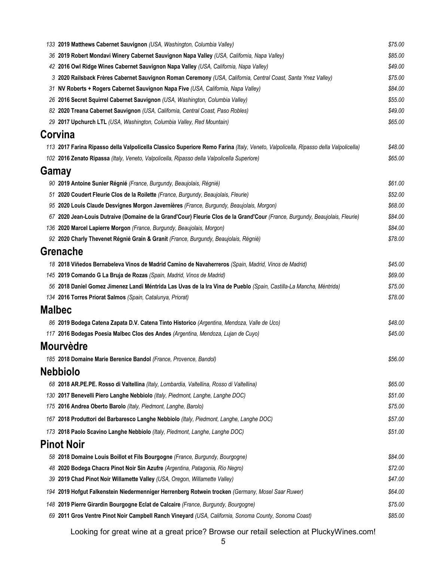| 133 2019 Matthews Cabernet Sauvignon (USA, Washington, Columbia Valley)                                                             | \$75.00 |
|-------------------------------------------------------------------------------------------------------------------------------------|---------|
| 36 2019 Robert Mondavi Winery Cabernet Sauvignon Napa Valley (USA, California, Napa Valley)                                         | \$85.00 |
| 42 2016 Owl Ridge Wines Cabernet Sauvignon Napa Valley (USA, California, Napa Valley)                                               | \$49.00 |
| 3 2020 Railsback Frères Cabernet Sauvignon Roman Ceremony (USA, California, Central Coast, Santa Ynez Valley)                       | \$75.00 |
| 31 NV Roberts + Rogers Cabernet Sauvignon Napa Five (USA, California, Napa Valley)                                                  | \$84.00 |
| 26 2016 Secret Squirrel Cabernet Sauvignon (USA, Washington, Columbia Valley)                                                       | \$55.00 |
| 82 2020 Treana Cabernet Sauvignon (USA, California, Central Coast, Paso Robles)                                                     | \$49.00 |
| 29 2017 Upchurch LTL (USA, Washington, Columbia Valley, Red Mountain)                                                               | \$65.00 |
| Corvina                                                                                                                             |         |
| 113 2017 Farina Ripasso della Valpolicella Classico Superiore Remo Farina (Italy, Veneto, Valpolicella, Ripasso della Valpolicella) | \$48.00 |
| 102 2016 Zenato Ripassa (Italy, Veneto, Valpolicella, Ripasso della Valpolicella Superiore)                                         | \$65.00 |
| Gamay                                                                                                                               |         |
| 90 2019 Antoine Sunier Régnié (France, Burgundy, Beaujolais, Régnié)                                                                | \$61.00 |
| 51 2020 Coudert Fleurie Clos de la Roilette (France, Burgundy, Beaujolais, Fleurie)                                                 | \$52.00 |
| 95 2020 Louis Claude Desvignes Morgon Javernières (France, Burgundy, Beaujolais, Morgon)                                            | \$68.00 |
| 67 2020 Jean-Louis Dutraive (Domaine de la Grand'Cour) Fleurie Clos de la Grand'Cour (France, Burgundy, Beaujolais, Fleurie)        | \$84.00 |
| 136 2020 Marcel Lapierre Morgon (France, Burgundy, Beaujolais, Morgon)                                                              | \$84.00 |
| 92 2020 Charly Thevenet Régnié Grain & Granit (France, Burgundy, Beaujolais, Régnié)                                                | \$78.00 |
| <b>Grenache</b>                                                                                                                     |         |
| 18 2018 Viñedos Bernabeleva Vinos de Madrid Camino de Navaherreros (Spain, Madrid, Vinos de Madrid)                                 | \$45.00 |
| 145 2019 Comando G La Bruja de Rozas (Spain, Madrid, Vinos de Madrid)                                                               | \$69.00 |
| 56 2018 Daniel Gomez Jimenez Landi Méntrida Las Uvas de la Ira Vina de Pueblo (Spain, Castilla-La Mancha, Méntrida)                 | \$75.00 |
| 134 2016 Torres Priorat Salmos (Spain, Catalunya, Priorat)                                                                          | \$78.00 |
| <b>Malbec</b>                                                                                                                       |         |
| 86 2019 Bodega Catena Zapata D.V. Catena Tinto Historico (Argentina, Mendoza, Valle de Uco)                                         | \$48.00 |
| 117 2016 Bodegas Poesia Malbec Clos des Andes (Argentina, Mendoza, Lujan de Cuyo)                                                   | \$45.00 |
| <b>Mourvèdre</b>                                                                                                                    |         |
| 185 2018 Domaine Marie Berenice Bandol (France, Provence, Bandol)                                                                   | \$56.00 |
| <b>Nebbiolo</b>                                                                                                                     |         |
|                                                                                                                                     |         |
| 68 2018 AR.PE.PE. Rosso di Valtellina (Italy, Lombardia, Valtellina, Rosso di Valtellina)                                           | \$65.00 |
| 130 2017 Benevelli Piero Langhe Nebbiolo (Italy, Piedmont, Langhe, Langhe DOC)                                                      | \$51.00 |
| 175 2016 Andrea Oberto Barolo (Italy, Piedmont, Langhe, Barolo)                                                                     | \$75.00 |
| 167 2018 Produttori del Barbaresco Langhe Nebbiolo (Italy, Piedmont, Langhe, Langhe DOC)                                            | \$57.00 |
| 173 2018 Paolo Scavino Langhe Nebbiolo (Italy, Piedmont, Langhe, Langhe DOC)                                                        | \$51.00 |
| <b>Pinot Noir</b>                                                                                                                   |         |
| 58 2018 Domaine Louis Boillot et Fils Bourgogne (France, Burgundy, Bourgogne)                                                       | \$84.00 |
| 48 2020 Bodega Chacra Pinot Noir Sin Azufre (Argentina, Patagonia, Río Negro)                                                       | \$72.00 |
| 39 2019 Chad Pinot Noir Willamette Valley (USA, Oregon, Willamette Valley)                                                          | \$47.00 |
| 194 2019 Hofgut Falkenstein Niedermenniger Herrenberg Rotwein trocken (Germany, Mosel Saar Ruwer)                                   | \$64.00 |
| 148 2019 Pierre Girardin Bourgogne Eclat de Calcaire (France, Burgundy, Bourgogne)                                                  | \$75.00 |
| 69 2011 Gros Ventre Pinot Noir Campbell Ranch Vineyard (USA, California, Sonoma County, Sonoma Coast)                               | \$85.00 |
|                                                                                                                                     |         |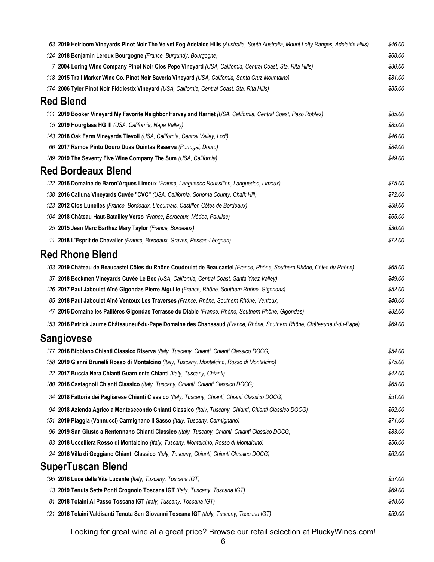| 63 2019 Heirloom Vineyards Pinot Noir The Velvet Fog Adelaide Hills (Australia, South Australia, Mount Lofty Ranges, Adelaide Hills)                                                    | \$46.00            |
|-----------------------------------------------------------------------------------------------------------------------------------------------------------------------------------------|--------------------|
| 124 2018 Benjamin Leroux Bourgogne (France, Burgundy, Bourgogne)                                                                                                                        | \$68.00            |
| 7 2004 Loring Wine Company Pinot Noir Clos Pepe Vineyard (USA, California, Central Coast, Sta. Rita Hills)                                                                              | \$80.00            |
| 118 2015 Trail Marker Wine Co. Pinot Noir Saveria Vineyard (USA, California, Santa Cruz Mountains)                                                                                      | \$81.00            |
| 174 2006 Tyler Pinot Noir Fiddlestix Vineyard (USA, California, Central Coast, Sta. Rita Hills)                                                                                         | \$85.00            |
| <b>Red Blend</b>                                                                                                                                                                        |                    |
| 111 2019 Booker Vineyard My Favorite Neighbor Harvey and Harriet (USA, California, Central Coast, Paso Robles)                                                                          | \$85.00            |
| 15 2019 Hourglass HG III (USA, California, Napa Valley)                                                                                                                                 | \$85.00            |
| 143 2018 Oak Farm Vineyards Tievoli (USA, California, Central Valley, Lodi)                                                                                                             | \$46.00            |
| 66 2017 Ramos Pinto Douro Duas Quintas Reserva (Portugal, Douro)                                                                                                                        | \$84.00            |
| 189 2019 The Seventy Five Wine Company The Sum (USA, California)                                                                                                                        | \$49.00            |
| <b>Red Bordeaux Blend</b>                                                                                                                                                               |                    |
| 122 2016 Domaine de Baron'Arques Limoux (France, Languedoc Roussillon, Languedoc, Limoux)                                                                                               | \$75.00            |
| 138 2016 Calluna Vineyards Cuvée "CVC" (USA, California, Sonoma County, Chalk Hill)                                                                                                     | \$72.00            |
| 123 2012 Clos Lunelles (France, Bordeaux, Libournais, Castillon Côtes de Bordeaux)                                                                                                      | \$59.00            |
| 104 2018 Château Haut-Batailley Verso (France, Bordeaux, Médoc, Pauillac)                                                                                                               | \$65.00            |
| 25 2015 Jean Marc Barthez Mary Taylor (France, Bordeaux)                                                                                                                                | \$36.00            |
| 11 2018 L'Esprit de Chevalier (France, Bordeaux, Graves, Pessac-Léognan)                                                                                                                | \$72.00            |
| <b>Red Rhone Blend</b>                                                                                                                                                                  |                    |
| 103 2019 Château de Beaucastel Côtes du Rhône Coudoulet de Beaucastel (France, Rhône, Southern Rhône, Côtes du Rhône)                                                                   | \$65.00            |
| 37 2018 Beckmen Vineyards Cuvée Le Bec (USA, California, Central Coast, Santa Ynez Valley)                                                                                              | \$49.00            |
| 126 2017 Paul Jaboulet Aîné Gigondas Pierre Aiguille (France, Rhône, Southern Rhône, Gigondas)                                                                                          | \$52.00            |
| 85 2018 Paul Jaboulet Aîné Ventoux Les Traverses (France, Rhône, Southern Rhône, Ventoux)                                                                                               | \$40.00            |
| 47 2016 Domaine les Pallières Gigondas Terrasse du Diable (France, Rhône, Southern Rhône, Gigondas)                                                                                     | \$82.00            |
| 153 2016 Patrick Jaume Châteauneuf-du-Pape Domaine des Chanssaud (France, Rhône, Southern Rhône, Châteauneuf-du-Pape)                                                                   | \$69.00            |
| <b>Sangiovese</b>                                                                                                                                                                       |                    |
| 177 2016 Bibbiano Chianti Classico Riserva (Italy, Tuscany, Chianti, Chianti Classico DOCG)                                                                                             | \$54.00            |
| 158 2019 Gianni Brunelli Rosso di Montalcino (Italy, Tuscany, Montalcino, Rosso di Montalcino)                                                                                          | \$75.00            |
| 22 2017 Buccia Nera Chianti Guarniente Chianti (Italy, Tuscany, Chianti)                                                                                                                | \$42.00            |
| 180 2016 Castagnoli Chianti Classico (Italy, Tuscany, Chianti, Chianti Classico DOCG)                                                                                                   | \$65.00            |
| 34 2018 Fattoria dei Pagliarese Chianti Classico (Italy, Tuscany, Chianti, Chianti Classico DOCG)                                                                                       | \$51.00            |
|                                                                                                                                                                                         | \$62.00            |
| 94 2018 Azienda Agricola Montesecondo Chianti Classico (Italy, Tuscany, Chianti, Chianti Classico DOCG)<br>151 2019 Piaggia (Vannucci) Carmignano II Sasso (Italy, Tuscany, Carmignano) | \$71.00            |
| 96 2019 San Giusto a Rentennano Chianti Classico (Italy, Tuscany, Chianti, Chianti Classico DOCG)                                                                                       | \$83.00            |
| 83 2018 Uccelliera Rosso di Montalcino (Italy, Tuscany, Montalcino, Rosso di Montalcino)                                                                                                | \$56.00            |
| 24 2016 Villa di Geggiano Chianti Classico (Italy, Tuscany, Chianti, Chianti Classico DOCG)                                                                                             | \$62.00            |
| <b>SuperTuscan Blend</b>                                                                                                                                                                |                    |
|                                                                                                                                                                                         |                    |
| 195 2016 Luce della Vite Lucente (Italy, Tuscany, Toscana IGT)                                                                                                                          | \$57.00            |
| 13 2019 Tenuta Sette Ponti Crognolo Toscana IGT (Italy, Tuscany, Toscana IGT)                                                                                                           | \$69.00<br>\$48.00 |
| 81 2018 Tolaini Al Passo Toscana IGT (Italy, Tuscany, Toscana IGT)                                                                                                                      |                    |
| 121 2016 Tolaini Valdisanti Tenuta San Giovanni Toscana IGT (Italy, Tuscany, Toscana IGT)                                                                                               | \$59.00            |